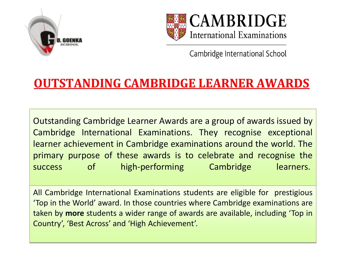



# **OUTSTANDING CAMBRIDGE LEARNER AWARDS**

Outstanding Cambridge Learner Awards are a group of awards issued by Cambridge International Examinations. They recognise exceptional learner achievement in Cambridge examinations around the world. The primary purpose of these awards is to celebrate and recognise the success of high-performing Cambridge learners.

All Cambridge International Examinations students are eligible for prestigious ͚Top in the World͛ award. In those countries where Cambridge examinations are taken by more students a wider range of awards are available, including 'Top in Country', 'Best Across' and 'High Achievement'.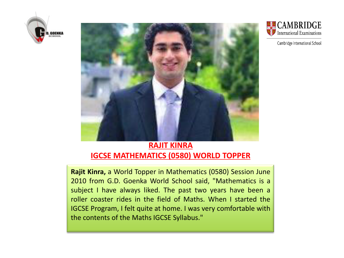



### **RAJIT KINRA IGCSE MATHEMATICS (0580) WORLD TOPPER**

**Rajit Kinra,** a World Topper in Mathematics (0580) Session June 2010 from G.D. Goenka World School said, "Mathematics is a subject I have always liked. The past two years have been a roller coaster rides in the field of Maths. When I started the IGCSE Program, I felt quite at home. I was very comfortable with the contents of the Maths IGCSE Syllabus."



Cambridge International School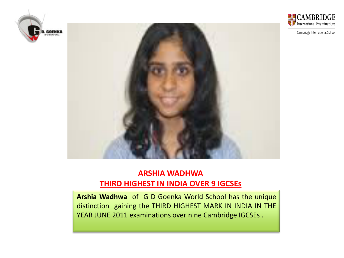



### **ARSHIA WADHWA THIRD HIGHEST IN INDIA OVER 9 IGCSEs**

**Arshia Wadhwa** of G D Goenka World School has the unique distinction gaining the THIRD HIGHEST MARK IN INDIA IN THE YEAR JUNE 2011 examinations over nine Cambridge IGCSEs .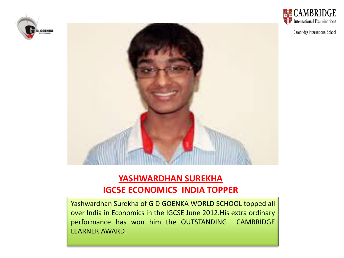





## **YASHWARDHAN SUREKHA IGCSE ECONOMICS INDIA TOPPER**

Yashwardhan Surekha of G D GOENKA WORLD SCHOOL topped all over India in Economics in the IGCSE June 2012.His extra ordinary performance has won him the OUTSTANDING CAMBRIDGE LEARNER AWARD.